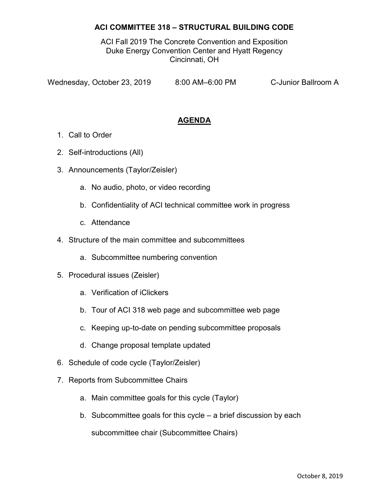## ACI COMMITTEE 318 – STRUCTURAL BUILDING CODE

ACI Fall 2019 The Concrete Convention and Exposition Duke Energy Convention Center and Hyatt Regency Cincinnati, OH

Wednesday, October 23, 2019 8:00 AM-6:00 PM C-Junior Ballroom A

## AGENDA

- 1. Call to Order
- 2. Self-introductions (All)
- 3. Announcements (Taylor/Zeisler)
	- a. No audio, photo, or video recording
	- b. Confidentiality of ACI technical committee work in progress
	- c. Attendance
- 4. Structure of the main committee and subcommittees
	- a. Subcommittee numbering convention
- 5. Procedural issues (Zeisler)
	- a. Verification of iClickers
	- b. Tour of ACI 318 web page and subcommittee web page
	- c. Keeping up-to-date on pending subcommittee proposals
	- d. Change proposal template updated
- 6. Schedule of code cycle (Taylor/Zeisler)
- 7. Reports from Subcommittee Chairs
	- a. Main committee goals for this cycle (Taylor)
	- b. Subcommittee goals for this cycle a brief discussion by each

subcommittee chair (Subcommittee Chairs)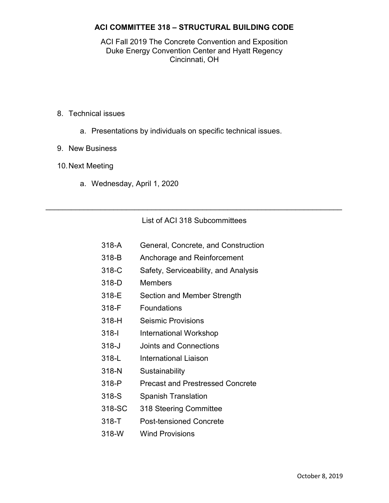## ACI COMMITTEE 318 – STRUCTURAL BUILDING CODE

#### ACI Fall 2019 The Concrete Convention and Exposition Duke Energy Convention Center and Hyatt Regency Cincinnati, OH

- 8. Technical issues
	- a. Presentations by individuals on specific technical issues.
- 9. New Business
- 10. Next Meeting
	- a. Wednesday, April 1, 2020

## List of ACI 318 Subcommittees

 $\mathcal{L}_\text{max}$  and  $\mathcal{L}_\text{max}$  and  $\mathcal{L}_\text{max}$  and  $\mathcal{L}_\text{max}$  and  $\mathcal{L}_\text{max}$  and  $\mathcal{L}_\text{max}$ 

- 318-A General, Concrete, and Construction
- 318-B Anchorage and Reinforcement
- 318-C Safety, Serviceability, and Analysis
- 318-D Members
- 318-E Section and Member Strength
- 318-F Foundations
- 318-H Seismic Provisions
- 318-I International Workshop
- 318-J Joints and Connections
- 318-L International Liaison
- 318-N Sustainability
- 318-P Precast and Prestressed Concrete
- 318-S Spanish Translation
- 318-SC 318 Steering Committee
- 318-T Post-tensioned Concrete
- 318-W Wind Provisions